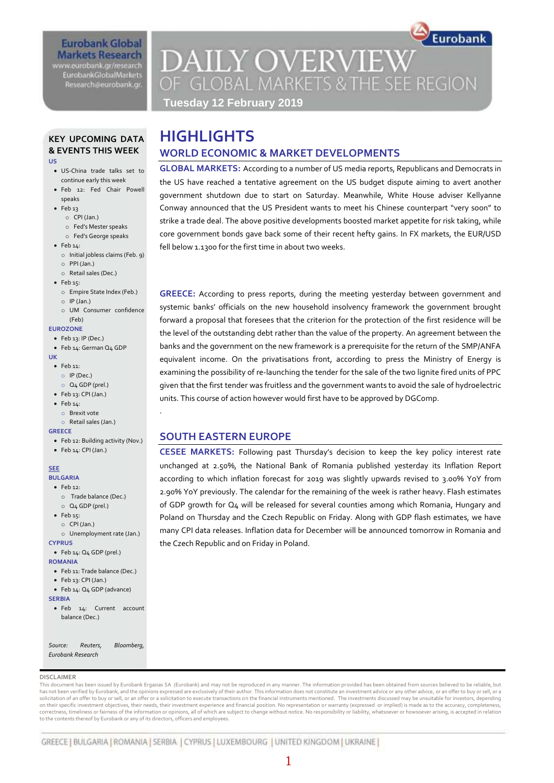#### **Eurobank Global Markets Research** www.eurobank.gr/research **EurobankGlobalMarkets**

Research@eurobank.gr

# Eurobank **DAILY OVERVIEW** OF GLOBAL MARKETS & THE SEE REGION

**Tuesday 12 February 2019**

# **KEY UPCOMING DATA & EVENTS THIS WEEK**

- **US**
- US-China trade talks set to continue early this week
- Feb 12: Fed Chair Powell speaks
- Feb 13
	- o CPI (Jan.)
	- o Fed's Mester speaks
	- o Fed's George speaks
- $\bullet$  Feb  $14$ :
	- o Initial jobless claims (Feb. 9)
	- o PPI (Jan.) o Retail sales (Dec.)
- 
- $\bullet$  Feb 15:
	- o Empire State Index (Feb.)
	- o IP (Jan.)
	- o UM Consumer confidence (Feb)

#### **EUROZONE**

- Feb 13: IP (Dec.)
- Feb 14: German Q4 GDP
- **UK** Feb 11:
	- o IP (Dec.)
		- o Q4 GDP (prel.)
- Feb 13: CPI (Jan.)
- $\bullet$  Feb 14:
	- o Brexit vote
	- o Retail sales (Jan.)

Feb 14: CPI (Jan.)

- **GREECE**
- Feb 12: Building activity (Nov.)

.

**SEE**

#### **BULGARIA**

- $\bullet$  Feb 12:
	- o Trade balance (Dec.)
- o Q4 GDP (prel.)  $\bullet$  Feb 15:
- 
- o CPI (Jan.) o Unemployment rate (Jan.)

**CYPRUS**

#### Feb 14: Q4 GDP (prel.)

- **ROMANIA**
- Feb 11: Trade balance (Dec.)
- Feb 13: CPI (Jan.)
- Feb 14: Q4 GDP (advance)
- **SERBIA**
- **•** Feb 14: Current account balance (Dec.)

*Source: Reuters, Bloomberg, Eurobank Research*

#### **DISCLAIMER**

This document has been issued by Eurobank Ergasias SA (Eurobank) and may not be reproduced in any manner. The information provided has been obtained from sources believed to be reliable, but has not been verified by Eurobank, and the opinions expressed are exclusively of their author. This information does not constitute an investment advice or any other advice, or an offer to buy or sell, or a solicitation of an offer to buy or sell, or an offer or a solicitation to execute transactions on the financial instruments mentioned. The investments discussed may be unsuitable for investors, depending<br>on their specific correctness, timeliness or fairness of the information or opinions, all of which are subject to change without notice. No responsibility or liability, whatsoever or howsoever arising, is accepted in relation to the contents thereof by Eurobank or any of its directors, officers and employees.

# **HIGHLIGHTS WORLD ECONOMIC & MARKET DEVELOPMENTS**

**GLOBAL MARKETS:** According to a number of US media reports, Republicans and Democrats in the US have reached a tentative agreement on the US budget dispute aiming to avert another government shutdown due to start on Saturday. Meanwhile, White House adviser Kellyanne Conway announced that the US President wants to meet his Chinese counterpart "very soon" to strike a trade deal. The above positive developments boosted market appetite for risk taking, while core government bonds gave back some of their recent hefty gains. In FX markets, the EUR/USD fell below 1.1300 for the first time in about two weeks.

**GREECE:** According to press reports, during the meeting yesterday between government and systemic banks' officials on the new household insolvency framework the government brought forward a proposal that foresees that the criterion for the protection of the first residence will be the level of the outstanding debt rather than the value of the property. An agreement between the banks and the government on the new framework is a prerequisite for the return of the SMP/ANFA equivalent income. On the privatisations front, according to press the Ministry of Energy is examining the possibility of re-launching the tender for the sale of the two lignite fired units of PPC given that the first tender was fruitless and the government wants to avoid the sale of hydroelectric units. This course of action however would first have to be approved by DGComp.

# **SOUTH EASTERN EUROPE**

**CESEE MARKETS:** Following past Thursday's decision to keep the key policy interest rate unchanged at 2.50%, the National Bank of Romania published yesterday its Inflation Report according to which inflation forecast for 2019 was slightly upwards revised to 3.00% YoY from 2.90% YoY previously. The calendar for the remaining of the week is rather heavy. Flash estimates of GDP growth for Q4 will be released for several counties among which Romania, Hungary and Poland on Thursday and the Czech Republic on Friday. Along with GDP flash estimates, we have many CPI data releases. Inflation data for December will be announced tomorrow in Romania and the Czech Republic and on Friday in Poland.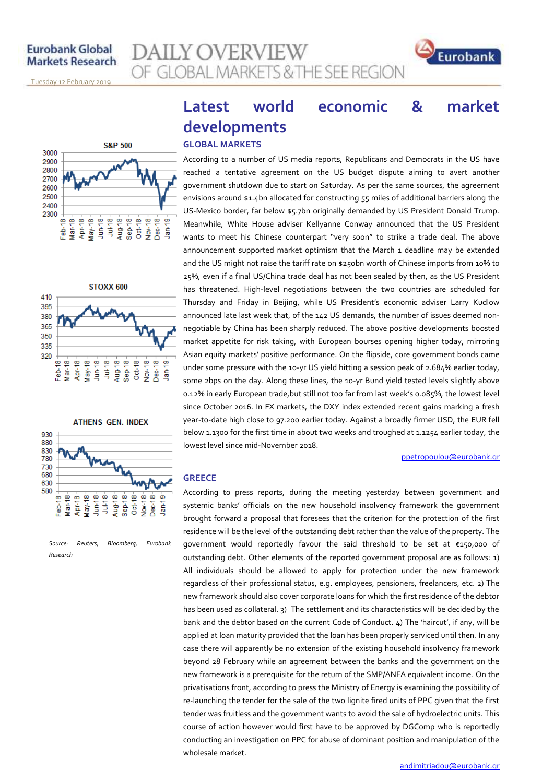## **Eurobank Global Markets Research**

**AILY OVERVIEW** OF GLOBAL MARKETS & THE SEE REGION

<u>Tuesday 12 February 2019</u>







```
Source: Reuters, Bloomberg, Eurobank 
Research
```
# **Latest world economic & market developments**

### **GLOBAL MARKETS**

According to a number of US media reports, Republicans and Democrats in the US have reached a tentative agreement on the US budget dispute aiming to avert another government shutdown due to start on Saturday. As per the same sources, the agreement envisions around \$1.4bn allocated for constructing 55 miles of additional barriers along the US-Mexico border, far below \$5.7bn originally demanded by US President Donald Trump. Meanwhile, White House adviser Kellyanne Conway announced that the US President wants to meet his Chinese counterpart "very soon" to strike a trade deal. The above announcement supported market optimism that the March 1 deadline may be extended and the US might not raise the tariff rate on \$250bn worth of Chinese imports from 10% to 25%, even if a final US/China trade deal has not been sealed by then, as the US President has threatened. High-level negotiations between the two countries are scheduled for Thursday and Friday in Beijing, while US President's economic adviser Larry Kudlow announced late last week that, of the 142 US demands, the number of issues deemed nonnegotiable by China has been sharply reduced. The above positive developments boosted market appetite for risk taking, with European bourses opening higher today, mirroring Asian equity markets' positive performance. On the flipside, core government bonds came under some pressure with the 10-yr US yield hitting a session peak of 2.684% earlier today, some 2bps on the day. Along these lines, the 10-yr Bund yield tested levels slightly above 0.12% in early European trade,but still not too far from last week's 0.085%, the lowest level since October 2016. In FX markets, the DXY index extended recent gains marking a fresh year-to-date high close to 97.200 earlier today. Against a broadly firmer USD, the EUR fell below 1.1300 for the first time in about two weeks and troughed at 1.1254 earlier today, the lowest level since mid-November 2018.

[ppetropoulou@eurobank.gr](mailto:ppetropoulou@eurobank.gr)

Eurobank

#### **GREECE**

According to press reports, during the meeting yesterday between government and systemic banks' officials on the new household insolvency framework the government brought forward a proposal that foresees that the criterion for the protection of the first residence will be the level of the outstanding debt rather than the value of the property. The government would reportedly favour the said threshold to be set at €150,000 of outstanding debt. Other elements of the reported government proposal are as follows: 1) All individuals should be allowed to apply for protection under the new framework regardless of their professional status, e.g. employees, pensioners, freelancers, etc. 2) The new framework should also cover corporate loans for which the first residence of the debtor has been used as collateral. 3) The settlement and its characteristics will be decided by the bank and the debtor based on the current Code of Conduct. 4) The 'haircut', if any, will be applied at loan maturity provided that the loan has been properly serviced until then. In any case there will apparently be no extension of the existing household insolvency framework beyond 28 February while an agreement between the banks and the government on the new framework is a prerequisite for the return of the SMP/ANFA equivalent income. On the privatisations front, according to press the Ministry of Energy is examining the possibility of re-launching the tender for the sale of the two lignite fired units of PPC given that the first tender was fruitless and the government wants to avoid the sale of hydroelectric units. This course of action however would first have to be approved by DGComp who is reportedly conducting an investigation on PPC for abuse of dominant position and manipulation of the wholesale market.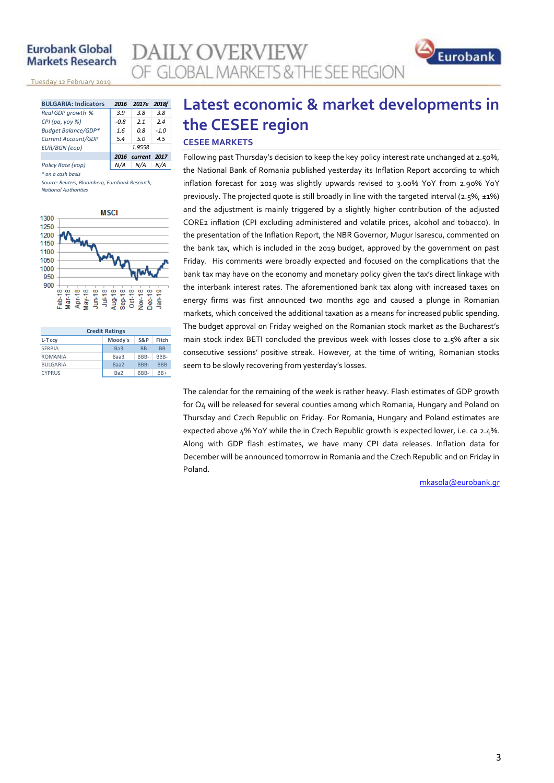## **Eurobank Global Markets Research**

<u>Tuesday 12 February 2019</u>

| <b>BULGARIA: Indicators</b> | 2016   | 2017e             | 2018f  |  |  |  |
|-----------------------------|--------|-------------------|--------|--|--|--|
| Real GDP growth %           | 3.9    | 3.8               | 3.8    |  |  |  |
| CPI (pa, yoy %)             | $-0.8$ | 21                | 2.4    |  |  |  |
| Budget Balance/GDP*         | 1.6    | 0.8               | $-1.0$ |  |  |  |
| Current Account/GDP         | 5.4    | 5.0               | 4.5    |  |  |  |
| <b>EUR/BGN</b> (eop)        | 1.9558 |                   |        |  |  |  |
|                             |        | 2016 current 2017 |        |  |  |  |
| Policy Rate (eop)           |        | N/A               |        |  |  |  |

*\* on a cash basis*

*Source: Reuters, Bloomberg, Eurobank Research, National Authorities*



| <b>Credit Ratings</b> |                 |           |            |  |  |  |  |  |  |  |
|-----------------------|-----------------|-----------|------------|--|--|--|--|--|--|--|
| L-T ccy               | Moody's         | S&P       | Fitch      |  |  |  |  |  |  |  |
| <b>SERBIA</b>         | Ba <sub>3</sub> | <b>BB</b> | <b>BB</b>  |  |  |  |  |  |  |  |
| <b>ROMANIA</b>        | Baa3            | BBB-      | RRR-       |  |  |  |  |  |  |  |
| <b>BULGARIA</b>       | Baa2            | BBB-      | <b>BBB</b> |  |  |  |  |  |  |  |
| <b>CYPRUS</b>         | Ba <sub>2</sub> | BBB-      | $BB+$      |  |  |  |  |  |  |  |

# **Latest economic & market developments in the CESEE region CESEE MARKETS**

**DAILY OVERVIEW** 

OF GLOBAL MARKETS & THE SEE REGION

Following past Thursday's decision to keep the key policy interest rate unchanged at 2.50%, the National Bank of Romania published yesterday its Inflation Report according to which inflation forecast for 2019 was slightly upwards revised to 3.00% YoY from 2.90% YoY previously. The projected quote is still broadly in line with the targeted interval (2.5%, ±1%) and the adjustment is mainly triggered by a slightly higher contribution of the adjusted CORE2 inflation (CPI excluding administered and volatile prices, alcohol and tobacco). In the presentation of the Inflation Report, the NBR Governor, Mugur Isarescu, commented on the bank tax, which is included in the 2019 budget, approved by the government on past Friday. His comments were broadly expected and focused on the complications that the bank tax may have on the economy and monetary policy given the tax's direct linkage with the interbank interest rates. The aforementioned bank tax along with increased taxes on energy firms was first announced two months ago and caused a plunge in Romanian markets, which conceived the additional taxation as a means for increased public spending. The budget approval on Friday weighed on the Romanian stock market as the Bucharest's main stock index BETI concluded the previous week with losses close to 2.5% after a six consecutive sessions' positive streak. However, at the time of writing, Romanian stocks seem to be slowly recovering from yesterday's losses.

The calendar for the remaining of the week is rather heavy. Flash estimates of GDP growth for Q4 will be released for several counties among which Romania, Hungary and Poland on Thursday and Czech Republic on Friday. For Romania, Hungary and Poland estimates are expected above 4% YoY while the in Czech Republic growth is expected lower, i.e. ca 2.4%. Along with GDP flash estimates, we have many CPI data releases. Inflation data for December will be announced tomorrow in Romania and the Czech Republic and on Friday in Poland.

[mkasola@eurobank.gr](mailto:mkasola@eurobank.gr)

Eurobank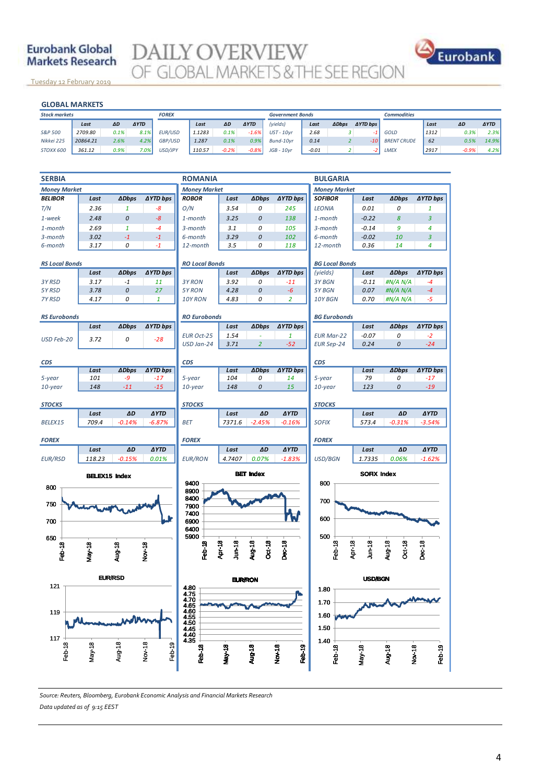# **Eurobank Global Markets Research**

**DAILY OVERVIEW** OF GLOBAL MARKETS & THE SEE REGION

<u>Tuesday 12 February 2019</u>

#### **GLOBAL MARKETS**

| <b>GLOBAL MARKETS</b> |          |      |              |         |        |         |                         |                   |         |              |                     |                    |      |         |             |
|-----------------------|----------|------|--------------|---------|--------|---------|-------------------------|-------------------|---------|--------------|---------------------|--------------------|------|---------|-------------|
| <b>Stock markets</b>  |          |      | <b>FOREX</b> |         |        |         | <b>Government Bonds</b> |                   |         |              | <b>Commodities</b>  |                    |      |         |             |
|                       | Last     | ΔD   | <b>AYTD</b>  |         | Last   | ΔD      | <b>AYTD</b>             | (yields)          | Last    | <b>ADbps</b> | $\triangle$ YTD bps |                    | Last | ΔD      | <b>AYTD</b> |
| S&P 500               | 2709.80  | 0.1% | 8.1%         | EUR/USD | 1.1283 | 0.1%    | $-1.6%$                 | <b>UST - 10vr</b> | 2.68    |              |                     | GOLD               | 1312 | 0.3%    | 2.3%        |
| Nikkei 225            | 20864.21 | 2.6% | 4.2%         | GBP/USD | 1.287  | 0.1%    | 0.9%                    | Bund-10vr         | 0.14    |              | -10                 | <b>BRENT CRUDE</b> | 62   | 0.5%    | 14.9%       |
| STOXX 600             | 361.12   | 0.9% | $7.0\%$      | USD/JPY | 110.57 | $-0.2%$ | $-0.8%$                 | $JGB - 10vr$      | $-0.01$ |              |                     | LMEX               | 2917 | $-0.9%$ | 4.2%        |



*Source: Reuters, Bloomberg, Eurobank Economic Analysis and Financial Markets Research Data updated as of 9:15 EEST*

Eurobank